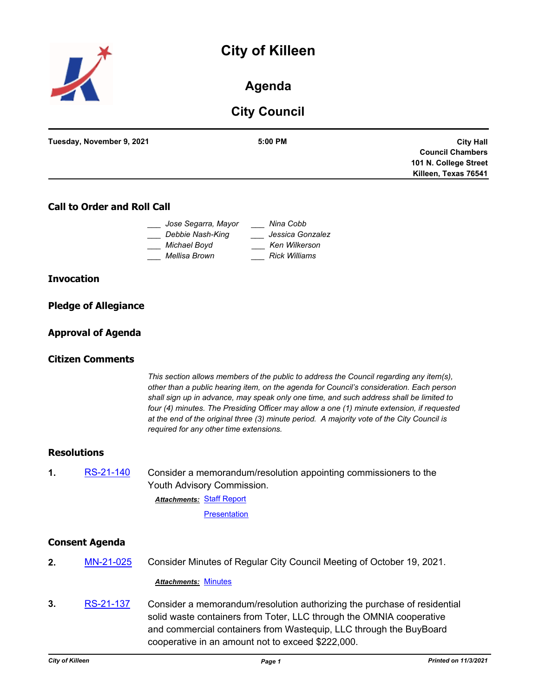# **City of Killeen**



**Agenda**

# **City Council**

| Tuesday, November 9, 2021 | 5:00 PM | <b>City Hall</b>        |
|---------------------------|---------|-------------------------|
|                           |         | <b>Council Chambers</b> |
|                           |         | 101 N. College Street   |
|                           |         | Killeen, Texas 76541    |
|                           |         |                         |

### **Call to Order and Roll Call**

| Jose Segarra, Mayor | Nina Cobb            |
|---------------------|----------------------|
| Debbie Nash-King    | Jessica Gonzalez     |
| Michael Boyd        | Ken Wilkerson        |
| Mellisa Brown       | <b>Rick Williams</b> |

#### **Invocation**

|  | <b>Pledge of Allegiance</b> |
|--|-----------------------------|
|  |                             |

### **Approval of Agenda**

#### **Citizen Comments**

*This section allows members of the public to address the Council regarding any item(s), other than a public hearing item, on the agenda for Council's consideration. Each person shall sign up in advance, may speak only one time, and such address shall be limited to four (4) minutes. The Presiding Officer may allow a one (1) minute extension, if requested at the end of the original three (3) minute period. A majority vote of the City Council is required for any other time extensions.*

#### **Resolutions**

**1.** [RS-21-140](http://killeen.legistar.com/gateway.aspx?m=l&id=/matter.aspx?key=5757) Consider a memorandum/resolution appointing commissioners to the Youth Advisory Commission.

**Attachments: [Staff Report](http://killeen.legistar.com/gateway.aspx?M=F&ID=3f11582c-a74c-48db-acf6-64b99b5c3c35.pdf)** 

**[Presentation](http://killeen.legistar.com/gateway.aspx?M=F&ID=d7881c7d-86b1-44ee-8ab2-d1696b5340b0.pdf)** 

#### **Consent Agenda**

**2.** [MN-21-025](http://killeen.legistar.com/gateway.aspx?m=l&id=/matter.aspx?key=5759) Consider Minutes of Regular City Council Meeting of October 19, 2021.

*Attachments:* [Minutes](http://killeen.legistar.com/gateway.aspx?M=F&ID=794895b0-d0cd-4c63-af4d-0fd2128b7bc3.pdf)

**3.** [RS-21-137](http://killeen.legistar.com/gateway.aspx?m=l&id=/matter.aspx?key=5728) Consider a memorandum/resolution authorizing the purchase of residential solid waste containers from Toter, LLC through the OMNIA cooperative and commercial containers from Wastequip, LLC through the BuyBoard cooperative in an amount not to exceed \$222,000.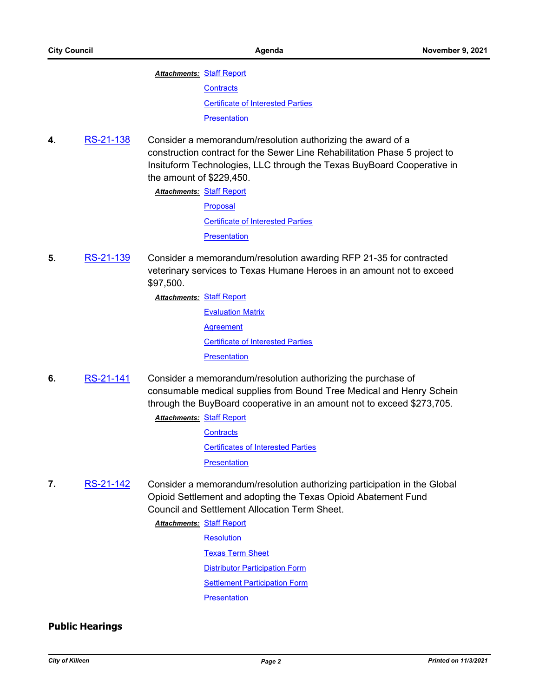#### **Attachments: [Staff Report](http://killeen.legistar.com/gateway.aspx?M=F&ID=f0f73eca-8be0-46f7-b6c8-42d44849b641.pdf)**

**[Contracts](http://killeen.legistar.com/gateway.aspx?M=F&ID=fe92dcaf-f704-447b-b84c-4f705b2e82e0.pdf)** 

[Certificate of Interested Parties](http://killeen.legistar.com/gateway.aspx?M=F&ID=50e5a5b6-3ec1-48ab-80ce-e574fc3dac25.pdf)

**[Presentation](http://killeen.legistar.com/gateway.aspx?M=F&ID=573da513-c18e-431c-9cbf-592ae0c34fb8.pdf)** 

**4.** [RS-21-138](http://killeen.legistar.com/gateway.aspx?m=l&id=/matter.aspx?key=5736) Consider a memorandum/resolution authorizing the award of a construction contract for the Sewer Line Rehabilitation Phase 5 project to Insituform Technologies, LLC through the Texas BuyBoard Cooperative in the amount of \$229,450.

**Attachments: [Staff Report](http://killeen.legistar.com/gateway.aspx?M=F&ID=6067c173-1470-4082-b2af-05193ad49e6c.pdf)** 

[Proposal](http://killeen.legistar.com/gateway.aspx?M=F&ID=4ed49c9d-f201-4433-ad7b-af3bec884312.pdf) [Certificate of Interested Parties](http://killeen.legistar.com/gateway.aspx?M=F&ID=b66a11b4-3f47-438e-bbdd-dcd80276ffcc.pdf) **[Presentation](http://killeen.legistar.com/gateway.aspx?M=F&ID=211aeabd-e6ca-4468-aaf6-20ee4d099158.pdf)** 

**5.** [RS-21-139](http://killeen.legistar.com/gateway.aspx?m=l&id=/matter.aspx?key=5756) Consider a memorandum/resolution awarding RFP 21-35 for contracted veterinary services to Texas Humane Heroes in an amount not to exceed \$97,500.

**Attachments: [Staff Report](http://killeen.legistar.com/gateway.aspx?M=F&ID=d753b013-dd86-4ccf-affd-a95f8ee25e61.pdf)** 

[Evaluation Matrix](http://killeen.legistar.com/gateway.aspx?M=F&ID=ccfa6075-d93e-40ae-be74-9cb073e94260.pdf) **[Agreement](http://killeen.legistar.com/gateway.aspx?M=F&ID=32cf8172-c968-4fc9-bd31-3720a236ee87.pdf)** [Certificate of Interested Parties](http://killeen.legistar.com/gateway.aspx?M=F&ID=8dfc8436-295a-482f-8347-02ca373d628f.pdf) **[Presentation](http://killeen.legistar.com/gateway.aspx?M=F&ID=6eefcd40-a174-4ad2-99b2-a00b26c7d66a.pdf)** 

- **6.** [RS-21-141](http://killeen.legistar.com/gateway.aspx?m=l&id=/matter.aspx?key=5758) Consider a memorandum/resolution authorizing the purchase of consumable medical supplies from Bound Tree Medical and Henry Schein through the BuyBoard cooperative in an amount not to exceed \$273,705.
	- **Attachments: [Staff Report](http://killeen.legistar.com/gateway.aspx?M=F&ID=4c947463-67d4-4723-8be9-97dc3e4a24d8.pdf) [Contracts](http://killeen.legistar.com/gateway.aspx?M=F&ID=79a3f763-d904-4809-bbc3-bb30e7145c38.pdf)** [Certificates of Interested Parties](http://killeen.legistar.com/gateway.aspx?M=F&ID=507308d4-e81c-45a9-9045-3514cbe585fb.pdf) **[Presentation](http://killeen.legistar.com/gateway.aspx?M=F&ID=5601799c-8cf9-4df1-9599-2a1b04fd2686.pdf)**
- **7.** [RS-21-142](http://killeen.legistar.com/gateway.aspx?m=l&id=/matter.aspx?key=5761) Consider a memorandum/resolution authorizing participation in the Global Opioid Settlement and adopting the Texas Opioid Abatement Fund Council and Settlement Allocation Term Sheet.

**Attachments: [Staff Report](http://killeen.legistar.com/gateway.aspx?M=F&ID=b0842d8c-36de-4a17-915a-1eda57b2c2f4.pdf)** 

- **[Resolution](http://killeen.legistar.com/gateway.aspx?M=F&ID=6484288f-aa59-4432-9a2e-bc2084475deb.pdf)** 
	- [Texas Term Sheet](http://killeen.legistar.com/gateway.aspx?M=F&ID=e828ddb3-1766-418f-a6f9-08478519af5a.pdf)
	- [Distributor Participation Form](http://killeen.legistar.com/gateway.aspx?M=F&ID=1c51ffd3-7396-4c0a-8cec-29f956a9ac46.pdf)
	- [Settlement Participation Form](http://killeen.legistar.com/gateway.aspx?M=F&ID=dc3dd444-8d73-4a6c-9c41-5d21219be823.pdf)

**[Presentation](http://killeen.legistar.com/gateway.aspx?M=F&ID=779873d2-4f60-4993-8223-e74f3069d74e.pdf)** 

### **Public Hearings**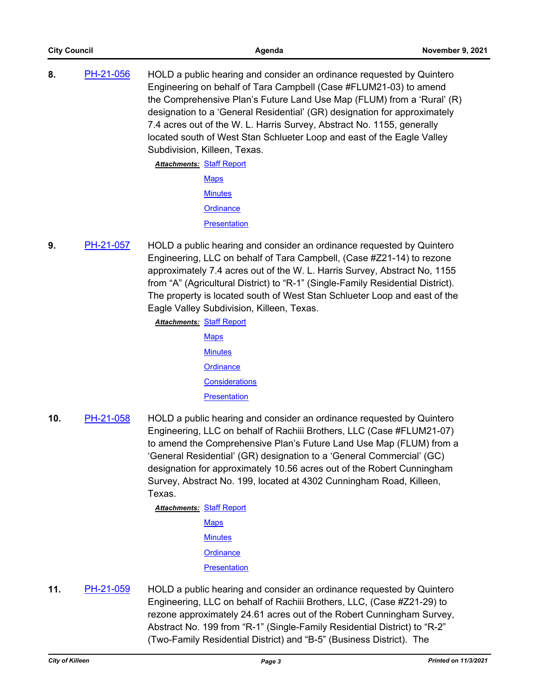**8.** [PH-21-056](http://killeen.legistar.com/gateway.aspx?m=l&id=/matter.aspx?key=5567) HOLD a public hearing and consider an ordinance requested by Quintero Engineering on behalf of Tara Campbell (Case #FLUM21-03) to amend the Comprehensive Plan's Future Land Use Map (FLUM) from a 'Rural' (R) designation to a 'General Residential' (GR) designation for approximately 7.4 acres out of the W. L. Harris Survey, Abstract No. 1155, generally located south of West Stan Schlueter Loop and east of the Eagle Valley Subdivision, Killeen, Texas.

| <u> Attachments: Staff Report</u> |                |
|-----------------------------------|----------------|
|                                   | <b>Maps</b>    |
|                                   | <b>Minutes</b> |
|                                   | Ordinance      |
|                                   | Presentation   |

**9.** [PH-21-057](http://killeen.legistar.com/gateway.aspx?m=l&id=/matter.aspx?key=5569) HOLD a public hearing and consider an ordinance requested by Quintero Engineering, LLC on behalf of Tara Campbell, (Case #Z21-14) to rezone approximately 7.4 acres out of the W. L. Harris Survey, Abstract No, 1155 from "A" (Agricultural District) to "R-1" (Single-Family Residential District). The property is located south of West Stan Schlueter Loop and east of the Eagle Valley Subdivision, Killeen, Texas.

**Attachments: [Staff Report](http://killeen.legistar.com/gateway.aspx?M=F&ID=9c1c6e2b-b2cb-434e-8a0d-5e28c4e0d05f.pdf)** 

- **[Maps](http://killeen.legistar.com/gateway.aspx?M=F&ID=a631e396-c5a7-4056-883d-835572bceebb.pdf) [Minutes](http://killeen.legistar.com/gateway.aspx?M=F&ID=444c2947-140e-4483-a7ab-99fd7d11d48d.pdf) [Ordinance](http://killeen.legistar.com/gateway.aspx?M=F&ID=bbf3d32f-ac48-401c-b2b8-1a78fc9b80f4.pdf) [Considerations](http://killeen.legistar.com/gateway.aspx?M=F&ID=ff81df94-b142-4a3a-88fb-5c36042852f0.pdf) [Presentation](http://killeen.legistar.com/gateway.aspx?M=F&ID=11b3791f-0b3e-48dd-babd-b0783909b1fc.pdf)**
- **10.** [PH-21-058](http://killeen.legistar.com/gateway.aspx?m=l&id=/matter.aspx?key=5705) HOLD a public hearing and consider an ordinance requested by Quintero Engineering, LLC on behalf of Rachiii Brothers, LLC (Case #FLUM21-07) to amend the Comprehensive Plan's Future Land Use Map (FLUM) from a 'General Residential' (GR) designation to a 'General Commercial' (GC) designation for approximately 10.56 acres out of the Robert Cunningham Survey, Abstract No. 199, located at 4302 Cunningham Road, Killeen, Texas.

**Attachments: [Staff Report](http://killeen.legistar.com/gateway.aspx?M=F&ID=42fe38ef-953e-4749-b2d2-edd8c65d80a1.pdf) [Maps](http://killeen.legistar.com/gateway.aspx?M=F&ID=e6e016ef-097e-4d33-b3c4-e0ddbb0597aa.pdf) [Minutes](http://killeen.legistar.com/gateway.aspx?M=F&ID=6ecc09c8-8678-414d-be50-4bd10ad0aab6.pdf) [Ordinance](http://killeen.legistar.com/gateway.aspx?M=F&ID=5cf4cf5f-7cf5-4ed5-a0fd-9e51c9d6a32c.pdf) [Presentation](http://killeen.legistar.com/gateway.aspx?M=F&ID=716cca1b-fe7b-44c3-8718-e7f8f6e6212d.pdf)** 

**11.** [PH-21-059](http://killeen.legistar.com/gateway.aspx?m=l&id=/matter.aspx?key=5706) HOLD a public hearing and consider an ordinance requested by Quintero Engineering, LLC on behalf of Rachiii Brothers, LLC, (Case #Z21-29) to rezone approximately 24.61 acres out of the Robert Cunningham Survey, Abstract No. 199 from "R-1" (Single-Family Residential District) to "R-2" (Two-Family Residential District) and "B-5" (Business District). The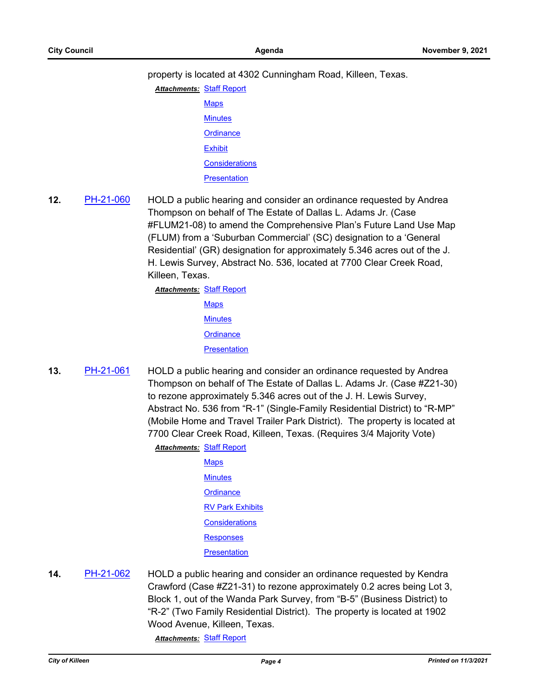property is located at 4302 Cunningham Road, Killeen, Texas.

- **Attachments: [Staff Report](http://killeen.legistar.com/gateway.aspx?M=F&ID=4dd02f0f-c983-4445-9b6e-44c7d3844387.pdf) [Maps](http://killeen.legistar.com/gateway.aspx?M=F&ID=171adfcb-4fdf-45e7-993b-c9368d06bacc.pdf) [Minutes](http://killeen.legistar.com/gateway.aspx?M=F&ID=fc3f4de3-2b8b-4c2c-8a0d-b62e9a1c556a.pdf) [Ordinance](http://killeen.legistar.com/gateway.aspx?M=F&ID=71f4ab86-9c46-4751-be3e-9c9b947590fc.pdf) [Exhibit](http://killeen.legistar.com/gateway.aspx?M=F&ID=cde9ee58-1aad-4199-9e24-41236e8e1ca3.pdf) [Considerations](http://killeen.legistar.com/gateway.aspx?M=F&ID=813bf253-3977-4ac1-861a-44a4b3e76caf.pdf) [Presentation](http://killeen.legistar.com/gateway.aspx?M=F&ID=0d90a1ba-ae7d-4053-978b-b1250d55bd1b.pdf)**
- **12.** [PH-21-060](http://killeen.legistar.com/gateway.aspx?m=l&id=/matter.aspx?key=5707) HOLD a public hearing and consider an ordinance requested by Andrea Thompson on behalf of The Estate of Dallas L. Adams Jr. (Case #FLUM21-08) to amend the Comprehensive Plan's Future Land Use Map (FLUM) from a 'Suburban Commercial' (SC) designation to a 'General Residential' (GR) designation for approximately 5.346 acres out of the J. H. Lewis Survey, Abstract No. 536, located at 7700 Clear Creek Road, Killeen, Texas.

**Attachments: [Staff Report](http://killeen.legistar.com/gateway.aspx?M=F&ID=29d3bbd8-44bd-44c7-8b18-b0a7769d2f87.pdf) [Maps](http://killeen.legistar.com/gateway.aspx?M=F&ID=cdca0d81-1387-46d6-999f-5e6e725b6ebd.pdf) [Minutes](http://killeen.legistar.com/gateway.aspx?M=F&ID=fa1db325-9055-4ff8-b913-d6c66494ffc3.pdf) [Ordinance](http://killeen.legistar.com/gateway.aspx?M=F&ID=b62c517f-e483-4228-92df-32cf185f4a3c.pdf) [Presentation](http://killeen.legistar.com/gateway.aspx?M=F&ID=0d5ab16e-4834-4496-a9ff-f898f82ca208.pdf)** 

**13.** [PH-21-061](http://killeen.legistar.com/gateway.aspx?m=l&id=/matter.aspx?key=5708) HOLD a public hearing and consider an ordinance requested by Andrea Thompson on behalf of The Estate of Dallas L. Adams Jr. (Case #Z21-30) to rezone approximately 5.346 acres out of the J. H. Lewis Survey, Abstract No. 536 from "R-1" (Single-Family Residential District) to "R-MP" (Mobile Home and Travel Trailer Park District). The property is located at 7700 Clear Creek Road, Killeen, Texas. (Requires 3/4 Majority Vote) **Attachments: [Staff Report](http://killeen.legistar.com/gateway.aspx?M=F&ID=71b2aa4a-864b-43a5-92f3-2f3fd53b22b7.pdf)** 

**[Maps](http://killeen.legistar.com/gateway.aspx?M=F&ID=180686e3-d332-4c98-964c-17f456a6f934.pdf) [Minutes](http://killeen.legistar.com/gateway.aspx?M=F&ID=1245d45e-0489-43d5-b03a-29861ad5bd36.pdf) [Ordinance](http://killeen.legistar.com/gateway.aspx?M=F&ID=15e830e1-9394-4fe7-ae4b-03868f588a08.pdf) [RV Park Exhibits](http://killeen.legistar.com/gateway.aspx?M=F&ID=4eb6e601-a80d-4509-be22-ba6b2ef0f098.pdf) [Considerations](http://killeen.legistar.com/gateway.aspx?M=F&ID=d817bcd1-3044-4f17-84cb-72e8dd62f7fc.pdf) [Responses](http://killeen.legistar.com/gateway.aspx?M=F&ID=a59f4adc-1a51-43c1-b921-2045a2bfa912.pdf) [Presentation](http://killeen.legistar.com/gateway.aspx?M=F&ID=1e83ea10-c488-40e3-a456-d37acd5972c3.pdf)** 

**14.** [PH-21-062](http://killeen.legistar.com/gateway.aspx?m=l&id=/matter.aspx?key=5709) HOLD a public hearing and consider an ordinance requested by Kendra Crawford (Case #Z21-31) to rezone approximately 0.2 acres being Lot 3, Block 1, out of the Wanda Park Survey, from "B-5" (Business District) to "R-2" (Two Family Residential District). The property is located at 1902 Wood Avenue, Killeen, Texas.

*Attachments:* [Staff Report](http://killeen.legistar.com/gateway.aspx?M=F&ID=d0a445a6-d0ef-48e9-9a40-b3078f69dae6.pdf)